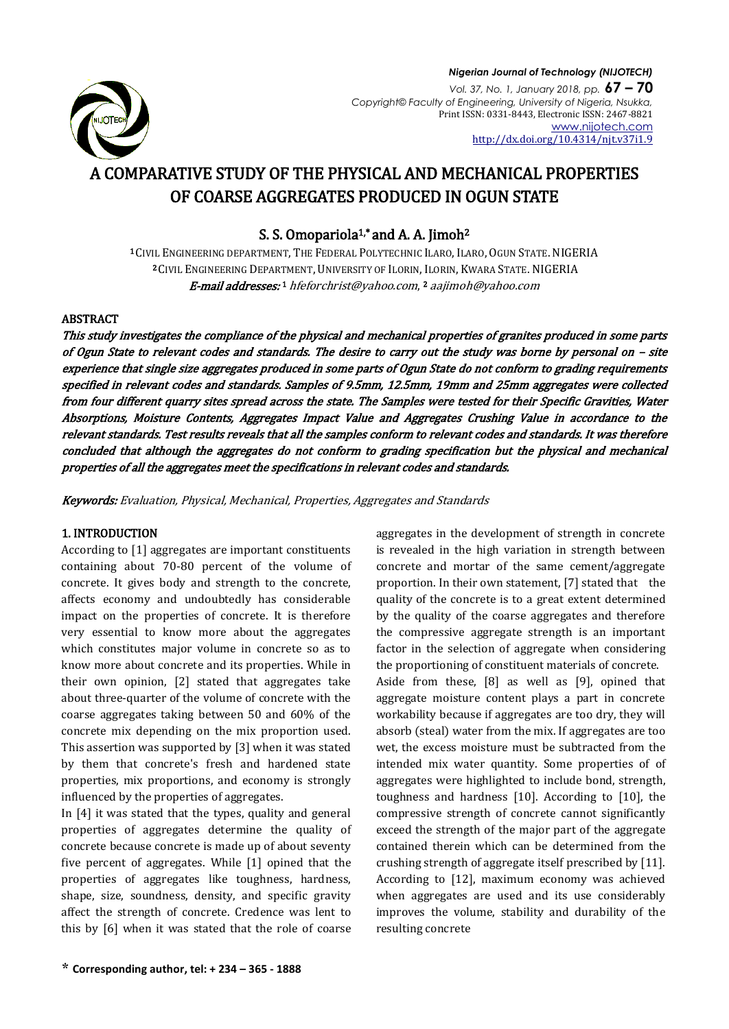

### *Nigerian Journal of Technology (NIJOTECH) Vol. 37, No. 1, January 2018, pp.* **67 – 70** *Copyright© Faculty of Engineering, University of Nigeria, Nsukka,*  Print ISSN: 0331-8443, Electronic ISSN: 2467-8821 [www.nijotech.com](http://www.nijotech.com/)

<http://dx.doi.org/10.4314/njt.v37i1.9>

# A COMPARATIVE STUDY OF THE PHYSICAL AND MECHANICAL PROPERTIES OF COARSE AGGREGATES PRODUCED IN OGUN STATE

S. S. Omopariola<sup>1,\*</sup> and A. A. Jimoh<sup>2</sup>

<sup>1</sup> CIVIL ENGINEERING DEPARTMENT, THE FEDERAL POLYTECHNIC ILARO, ILARO, OGUN STATE.NIGERIA <sup>2</sup> CIVIL ENGINEERING DEPARTMENT, UNIVERSITY OF ILORIN, ILORIN, KWARA STATE. NIGERIA **E-mail addresses:**1 hfeforchrist@yahoo.com,<sup>2</sup> [aajimoh@yahoo.com](mailto:aajimoh@yahoo.com)

# ABSTRACT

This study investigates the compliance of the physical and mechanical properties of granites produced in some parts of Ogun State to relevant codes and standards. The desire to carry out the study was borne by personal on – site experience that single size aggregates produced in some parts of Ogun State do not conform to grading requirements specified in relevant codes and standards. Samples of 9.5mm, 12.5mm, 19mm and 25mm aggregates were collected from four different quarry sites spread across the state. The Samples were tested for their Specific Gravities, Water Absorptions, Moisture Contents, Aggregates Impact Value and Aggregates Crushing Value in accordance to the relevant standards. Test results reveals that all the samples conform to relevant codes and standards. It was therefore concluded that although the aggregates do not conform to grading specification but the physical and mechanical properties of all the aggregates meet the specifications in relevant codes and standards.

Keywords: Evaluation, Physical, Mechanical, Properties, Aggregates and Standards

# 1. INTRODUCTION

According to [1] aggregates are important constituents containing about 70-80 percent of the volume of concrete. It gives body and strength to the concrete, affects economy and undoubtedly has considerable impact on the properties of concrete. It is therefore very essential to know more about the aggregates which constitutes major volume in concrete so as to know more about concrete and its properties. While in their own opinion, [2] stated that aggregates take about three-quarter of the volume of concrete with the coarse aggregates taking between 50 and 60% of the concrete mix depending on the mix proportion used. This assertion was supported by [3] when it was stated by them that concrete's fresh and hardened state properties, mix proportions, and economy is strongly influenced by the properties of aggregates.

In [4] it was stated that the types, quality and general properties of aggregates determine the quality of concrete because concrete is made up of about seventy five percent of aggregates. While [1] opined that the properties of aggregates like toughness, hardness, shape, size, soundness, density, and specific gravity affect the strength of concrete. Credence was lent to this by [6] when it was stated that the role of coarse

aggregates in the development of strength in concrete is revealed in the high variation in strength between concrete and mortar of the same cement/aggregate proportion. In their own statement, [7] stated that the quality of the concrete is to a great extent determined by the quality of the coarse aggregates and therefore the compressive aggregate strength is an important factor in the selection of aggregate when considering the proportioning of constituent materials of concrete. Aside from these, [8] as well as [9], opined that aggregate moisture content plays a part in concrete workability because if aggregates are too dry, they will absorb (steal) water from the mix. If aggregates are too wet, the excess moisture must be subtracted from the intended mix water quantity. Some properties of of aggregates were highlighted to include bond, strength, toughness and hardness [10]. According to [10], the compressive strength of concrete cannot significantly exceed the strength of the major part of the aggregate contained therein which can be determined from the crushing strength of aggregate itself prescribed by [11]. According to [12], maximum economy was achieved when aggregates are used and its use considerably improves the volume, stability and durability of the resulting concrete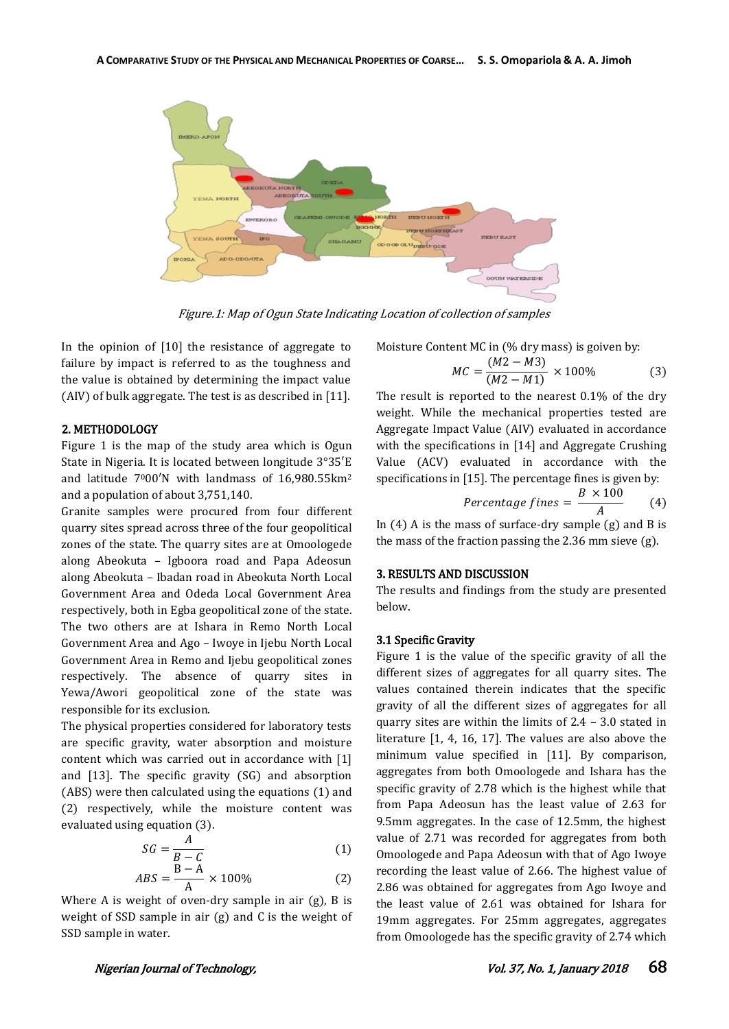

Figure.1: Map of Ogun State Indicating Location of collection of samples

In the opinion of [10] the resistance of aggregate to failure by impact is referred to as the toughness and the value is obtained by determining the impact value (AIV) of bulk aggregate. The test is as described in [11].

# 2. METHODOLOGY

Figure 1 is the map of the study area which is Ogun State in Nigeria. It is located between longitude 3°35′E and latitude  $7000'N$  with landmass of  $16,980.55km^2$ and a population of about 3,751,140.

Granite samples were procured from four different quarry sites spread across three of the four geopolitical zones of the state. The quarry sites are at Omoologede along Abeokuta – Igboora road and Papa Adeosun along Abeokuta – Ibadan road in Abeokuta North Local Government Area and Odeda Local Government Area respectively, both in Egba geopolitical zone of the state. The two others are at Ishara in Remo North Local Government Area and Ago – Iwoye in Ijebu North Local Government Area in Remo and Ijebu geopolitical zones respectively. The absence of quarry sites in Yewa/Awori geopolitical zone of the state was responsible for its exclusion.

The physical properties considered for laboratory tests are specific gravity, water absorption and moisture content which was carried out in accordance with [1] and [13]. The specific gravity (SG) and absorption (ABS) were then calculated using the equations (1) and (2) respectively, while the moisture content was evaluated using equation (3).

$$
SG = \frac{A}{B - C}
$$
(1)

$$
ABS = \frac{B-A}{A} \times 100\%
$$
 (2)

Where A is weight of oven-dry sample in air (g), B is weight of SSD sample in air (g) and C is the weight of SSD sample in water.

Moisture Content MC in (% dry mass) is goiven by:

$$
MC = \frac{(M2 - M3)}{(M2 - M1)} \times 100\% \tag{3}
$$

The result is reported to the nearest 0.1% of the dry weight. While the mechanical properties tested are Aggregate Impact Value (AIV) evaluated in accordance with the specifications in [14] and Aggregate Crushing Value (ACV) evaluated in accordance with the specifications in [15]. The percentage fines is given by:

$$
Percentage \text{ } fitness = \frac{B \times 100}{A} \qquad (4)
$$

In  $(4)$  A is the mass of surface-dry sample  $(g)$  and B is the mass of the fraction passing the 2.36 mm sieve (g).

# 3. RESULTS AND DISCUSSION

The results and findings from the study are presented below.

### 3.1 Specific Gravity

Figure 1 is the value of the specific gravity of all the different sizes of aggregates for all quarry sites. The values contained therein indicates that the specific gravity of all the different sizes of aggregates for all quarry sites are within the limits of 2.4 – 3.0 stated in literature [1, 4, 16, 17]. The values are also above the minimum value specified in [11]. By comparison, aggregates from both Omoologede and Ishara has the specific gravity of 2.78 which is the highest while that from Papa Adeosun has the least value of 2.63 for 9.5mm aggregates. In the case of 12.5mm, the highest value of 2.71 was recorded for aggregates from both Omoologede and Papa Adeosun with that of Ago Iwoye recording the least value of 2.66. The highest value of 2.86 was obtained for aggregates from Ago Iwoye and the least value of 2.61 was obtained for Ishara for 19mm aggregates. For 25mm aggregates, aggregates from Omoologede has the specific gravity of 2.74 which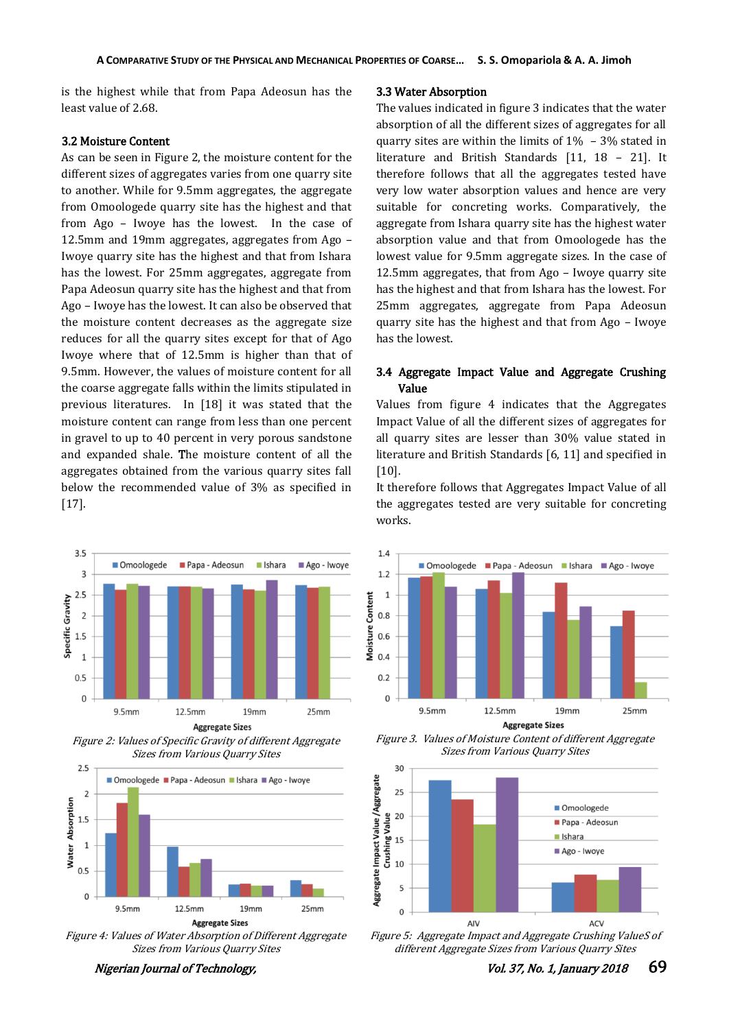is the highest while that from Papa Adeosun has the least value of 2.68.

# 3.2 Moisture Content

As can be seen in Figure 2, the moisture content for the different sizes of aggregates varies from one quarry site to another. While for 9.5mm aggregates, the aggregate from Omoologede quarry site has the highest and that from Ago – Iwoye has the lowest. In the case of 12.5mm and 19mm aggregates, aggregates from Ago – Iwoye quarry site has the highest and that from Ishara has the lowest. For 25mm aggregates, aggregate from Papa Adeosun quarry site has the highest and that from Ago – Iwoye has the lowest. It can also be observed that the moisture content decreases as the aggregate size reduces for all the quarry sites except for that of Ago Iwoye where that of 12.5mm is higher than that of 9.5mm. However, the values of moisture content for all the coarse aggregate falls within the limits stipulated in previous literatures. In [18] it was stated that the moisture content can range from less than one percent in gravel to up to 40 percent in very porous sandstone and expanded shale. The moisture content of all the aggregates obtained from the various quarry sites fall below the recommended value of 3% as specified in [17].



Figure 2: Values of Specific Gravity of different Aggregate Sizes from Various Quarry Sites



Figure 4: Values of Water Absorption of Different Aggregate Sizes from Various Quarry Sites

# 3.3 Water Absorption

The values indicated in figure 3 indicates that the water absorption of all the different sizes of aggregates for all quarry sites are within the limits of  $1\% - 3\%$  stated in literature and British Standards [11, 18 – 21]. It therefore follows that all the aggregates tested have very low water absorption values and hence are very suitable for concreting works. Comparatively, the aggregate from Ishara quarry site has the highest water absorption value and that from Omoologede has the lowest value for 9.5mm aggregate sizes. In the case of 12.5mm aggregates, that from Ago – Iwoye quarry site has the highest and that from Ishara has the lowest. For 25mm aggregates, aggregate from Papa Adeosun quarry site has the highest and that from Ago – Iwoye has the lowest.

# 3.4 Aggregate Impact Value and Aggregate Crushing Value

Values from figure 4 indicates that the Aggregates Impact Value of all the different sizes of aggregates for all quarry sites are lesser than 30% value stated in literature and British Standards [6, 11] and specified in [10].

It therefore follows that Aggregates Impact Value of all the aggregates tested are very suitable for concreting works.



Figure 3. Values of Moisture Content of different Aggregate Sizes from Various Quarry Sites